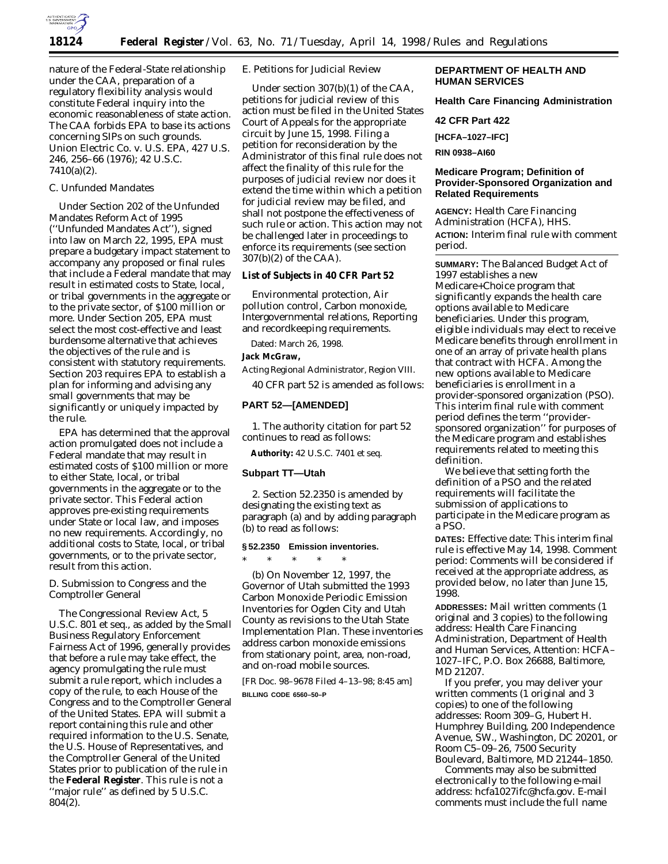

nature of the Federal-State relationship under the CAA, preparation of a regulatory flexibility analysis would constitute Federal inquiry into the economic reasonableness of state action. The CAA forbids EPA to base its actions concerning SIPs on such grounds. *Union Electric Co.* v. *U.S. EPA*, 427 U.S. 246, 256–66 (1976); 42 U.S.C. 7410(a)(2).

# *C. Unfunded Mandates*

Under Section 202 of the Unfunded Mandates Reform Act of 1995 (''Unfunded Mandates Act''), signed into law on March 22, 1995, EPA must prepare a budgetary impact statement to accompany any proposed or final rules that include a Federal mandate that may result in estimated costs to State, local, or tribal governments in the aggregate or to the private sector, of \$100 million or more. Under Section 205, EPA must select the most cost-effective and least burdensome alternative that achieves the objectives of the rule and is consistent with statutory requirements. Section 203 requires EPA to establish a plan for informing and advising any small governments that may be significantly or uniquely impacted by the rule.

EPA has determined that the approval action promulgated does not include a Federal mandate that may result in estimated costs of \$100 million or more to either State, local, or tribal governments in the aggregate or to the private sector. This Federal action approves pre-existing requirements under State or local law, and imposes no new requirements. Accordingly, no additional costs to State, local, or tribal governments, or to the private sector, result from this action.

# *D. Submission to Congress and the Comptroller General*

The Congressional Review Act, 5 U.S.C. 801 *et seq.*, as added by the Small Business Regulatory Enforcement Fairness Act of 1996, generally provides that before a rule may take effect, the agency promulgating the rule must submit a rule report, which includes a copy of the rule, to each House of the Congress and to the Comptroller General of the United States. EPA will submit a report containing this rule and other required information to the U.S. Senate, the U.S. House of Representatives, and the Comptroller General of the United States prior to publication of the rule in the **Federal Register**. This rule is not a ''major rule'' as defined by 5 U.S.C. 804(2).

# *E. Petitions for Judicial Review*

Under section 307(b)(1) of the CAA, petitions for judicial review of this action must be filed in the United States Court of Appeals for the appropriate circuit by June 15, 1998. Filing a petition for reconsideration by the Administrator of this final rule does not affect the finality of this rule for the purposes of judicial review nor does it extend the time within which a petition for judicial review may be filed, and shall not postpone the effectiveness of such rule or action. This action may not be challenged later in proceedings to enforce its requirements (see section 307(b)(2) of the CAA).

#### **List of Subjects in 40 CFR Part 52**

Environmental protection, Air pollution control, Carbon monoxide, Intergovernmental relations, Reporting and recordkeeping requirements.

Dated: March 26, 1998.

# **Jack McGraw,**

*Acting Regional Administrator, Region VIII.*

40 CFR part 52 is amended as follows:

## **PART 52—[AMENDED]**

1. The authority citation for part 52 continues to read as follows:

**Authority:** 42 U.S.C. 7401 *et seq.*

## **Subpart TT—Utah**

2. Section 52.2350 is amended by designating the existing text as paragraph (a) and by adding paragraph (b) to read as follows:

## **§ 52.2350 Emission inventories.**

\* \* \* \* \*

(b) On November 12, 1997, the Governor of Utah submitted the 1993 Carbon Monoxide Periodic Emission Inventories for Ogden City and Utah County as revisions to the Utah State Implementation Plan. These inventories address carbon monoxide emissions from stationary point, area, non-road, and on-road mobile sources.

[FR Doc. 98–9678 Filed 4–13–98; 8:45 am] **BILLING CODE 6560–50–P**

# **DEPARTMENT OF HEALTH AND HUMAN SERVICES**

**Health Care Financing Administration**

## **42 CFR Part 422**

**[HCFA–1027–IFC]**

**RIN 0938–AI60**

# **Medicare Program; Definition of Provider-Sponsored Organization and Related Requirements**

**AGENCY:** Health Care Financing Administration (HCFA), HHS. **ACTION:** Interim final rule with comment period.

**SUMMARY:** The Balanced Budget Act of 1997 establishes a new Medicare+Choice program that significantly expands the health care options available to Medicare beneficiaries. Under this program, eligible individuals may elect to receive Medicare benefits through enrollment in one of an array of private health plans that contract with HCFA. Among the new options available to Medicare beneficiaries is enrollment in a provider-sponsored organization (PSO). This interim final rule with comment period defines the term ''providersponsored organization'' for purposes of the Medicare program and establishes requirements related to meeting this definition.

We believe that setting forth the definition of a PSO and the related requirements will facilitate the submission of applications to participate in the Medicare program as a PSO.

**DATES:** *Effective date:* This interim final rule is effective May 14, 1998. *Comment period:* Comments will be considered if received at the appropriate address, as provided below, no later than June 15, 1998.

**ADDRESSES:** Mail written comments (1 original and 3 copies) to the following address: Health Care Financing Administration, Department of Health and Human Services, Attention: HCFA– 1027–IFC, P.O. Box 26688, Baltimore, MD 21207.

If you prefer, you may deliver your written comments (1 original and 3 copies) to one of the following addresses: Room 309–G, Hubert H. Humphrey Building, 200 Independence Avenue, SW., Washington, DC 20201, or Room C5–09–26, 7500 Security Boulevard, Baltimore, MD 21244–1850.

Comments may also be submitted electronically to the following e-mail address: hcfa1027ifc@hcfa.gov. E-mail comments must include the full name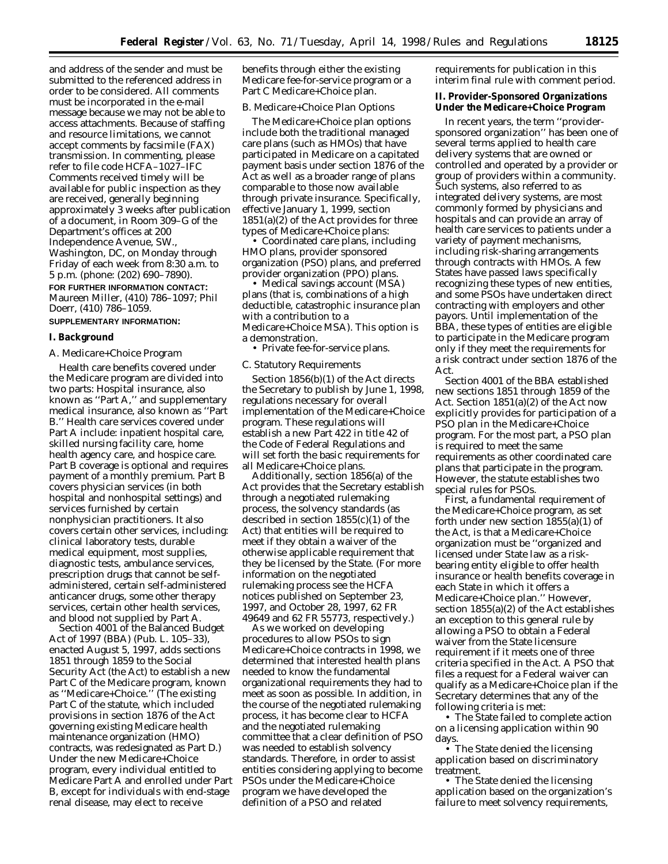and address of the sender and must be submitted to the referenced address in order to be considered. All comments must be incorporated in the e-mail message because we may not be able to access attachments. Because of staffing and resource limitations, we cannot accept comments by facsimile (FAX) transmission. In commenting, please refer to file code HCFA–1027–IFC Comments received timely will be available for public inspection as they are received, generally beginning approximately 3 weeks after publication of a document, in Room 309–G of the Department's offices at 200 Independence Avenue, SW., Washington, DC, on Monday through Friday of each week from 8:30 a.m. to 5 p.m. (phone: (202) 690–7890).

**FOR FURTHER INFORMATION CONTACT:** Maureen Miller, (410) 786–1097; Phil Doerr, (410) 786–1059.

# **SUPPLEMENTARY INFORMATION:**

## **I. Background**

#### *A. Medicare+Choice Program*

Health care benefits covered under the Medicare program are divided into two parts: Hospital insurance, also known as ''Part A,'' and supplementary medical insurance, also known as ''Part B.'' Health care services covered under Part A include: inpatient hospital care, skilled nursing facility care, home health agency care, and hospice care. Part B coverage is optional and requires payment of a monthly premium. Part B covers physician services (in both hospital and nonhospital settings) and services furnished by certain nonphysician practitioners. It also covers certain other services, including: clinical laboratory tests, durable medical equipment, most supplies, diagnostic tests, ambulance services, prescription drugs that cannot be selfadministered, certain self-administered anticancer drugs, some other therapy services, certain other health services, and blood not supplied by Part A.

Section 4001 of the Balanced Budget Act of 1997 (BBA) (Pub. L. 105–33), enacted August 5, 1997, adds sections 1851 through 1859 to the Social Security Act (the Act) to establish a new Part C of the Medicare program, known as ''Medicare+Choice.'' (The existing Part C of the statute, which included provisions in section 1876 of the Act governing existing Medicare health maintenance organization (HMO) contracts, was redesignated as Part D.) Under the new Medicare+Choice program, every individual entitled to Medicare Part A and enrolled under Part B, except for individuals with end-stage renal disease, may elect to receive

benefits through either the existing Medicare fee-for-service program or a Part C Medicare+Choice plan.

#### *B. Medicare+Choice Plan Options*

The Medicare+Choice plan options include both the traditional managed care plans (such as HMOs) that have participated in Medicare on a capitated payment basis under section 1876 of the Act as well as a broader range of plans comparable to those now available through private insurance. Specifically, effective January 1, 1999, section 1851(a)(2) of the Act provides for three types of Medicare+Choice plans:

• Coordinated care plans, including HMO plans, provider sponsored organization (PSO) plans, and preferred provider organization (PPO) plans.

• Medical savings account (MSA) plans (that is, combinations of a high deductible, catastrophic insurance plan with a contribution to a Medicare+Choice MSA). This option is a demonstration.

• Private fee-for-service plans.

# *C. Statutory Requirements*

Section 1856(b)(1) of the Act directs the Secretary to publish by June 1, 1998, regulations necessary for overall implementation of the Medicare+Choice program. These regulations will establish a new Part 422 in title 42 of the Code of Federal Regulations and will set forth the basic requirements for all Medicare+Choice plans.

Additionally, section 1856(a) of the Act provides that the Secretary establish through a negotiated rulemaking process, the solvency standards (as described in section 1855(c)(1) of the Act) that entities will be required to meet if they obtain a waiver of the otherwise applicable requirement that they be licensed by the State. (For more information on the negotiated rulemaking process see the HCFA notices published on September 23, 1997, and October 28, 1997, 62 FR 49649 and 62 FR 55773, respectively.)

As we worked on developing procedures to allow PSOs to sign Medicare+Choice contracts in 1998, we determined that interested health plans needed to know the fundamental organizational requirements they had to meet as soon as possible. In addition, in the course of the negotiated rulemaking process, it has become clear to HCFA and the negotiated rulemaking committee that a clear definition of PSO was needed to establish solvency standards. Therefore, in order to assist entities considering applying to become PSOs under the Medicare+Choice program we have developed the definition of a PSO and related

requirements for publication in this interim final rule with comment period.

# **II. Provider-Sponsored Organizations Under the Medicare+Choice Program**

In recent years, the term ''providersponsored organization'' has been one of several terms applied to health care delivery systems that are owned or controlled and operated by a provider or group of providers within a community. Such systems, also referred to as integrated delivery systems, are most commonly formed by physicians and hospitals and can provide an array of health care services to patients under a variety of payment mechanisms, including risk-sharing arrangements through contracts with HMOs. A few States have passed laws specifically recognizing these types of new entities, and some PSOs have undertaken direct contracting with employers and other payors. Until implementation of the BBA, these types of entities are eligible to participate in the Medicare program only if they meet the requirements for a risk contract under section 1876 of the Act.

Section 4001 of the BBA established new sections 1851 through 1859 of the Act. Section 1851(a)(2) of the Act now explicitly provides for participation of a PSO plan in the Medicare+Choice program. For the most part, a PSO plan is required to meet the same requirements as other coordinated care plans that participate in the program. However, the statute establishes two special rules for PSOs.

First, a fundamental requirement of the Medicare+Choice program, as set forth under new section 1855(a)(1) of the Act, is that a Medicare+Choice organization must be ''organized and licensed under State law as a riskbearing entity eligible to offer health insurance or health benefits coverage in each State in which it offers a Medicare+Choice plan.'' However, section 1855(a)(2) of the Act establishes an exception to this general rule by allowing a PSO to obtain a Federal waiver from the State licensure requirement if it meets one of three criteria specified in the Act. A PSO that files a request for a Federal waiver can qualify as a Medicare+Choice plan if the Secretary determines that any of the following criteria is met:

• The State failed to complete action on a licensing application within 90 days.

• The State denied the licensing application based on discriminatory treatment.

• The State denied the licensing application based on the organization's failure to meet solvency requirements,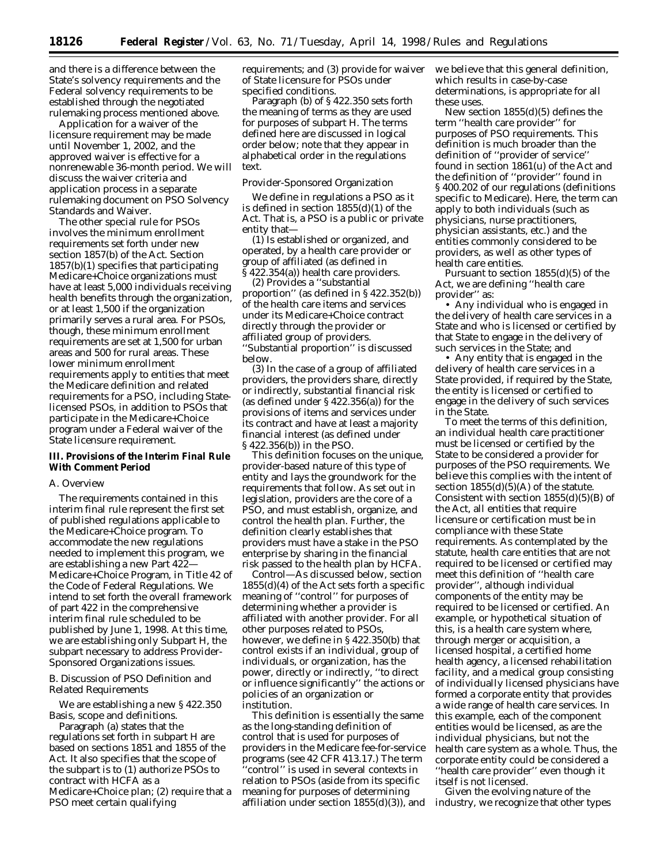and there is a difference between the State's solvency requirements and the Federal solvency requirements to be established through the negotiated rulemaking process mentioned above.

Application for a waiver of the licensure requirement may be made until November 1, 2002, and the approved waiver is effective for a nonrenewable 36-month period. We will discuss the waiver criteria and application process in a separate rulemaking document on PSO Solvency Standards and Waiver.

The other special rule for PSOs involves the minimum enrollment requirements set forth under new section 1857(b) of the Act. Section 1857(b)(1) specifies that participating Medicare+Choice organizations must have at least 5,000 individuals receiving health benefits through the organization, or at least 1,500 if the organization primarily serves a rural area. For PSOs, though, these minimum enrollment requirements are set at 1,500 for urban areas and 500 for rural areas. These lower minimum enrollment requirements apply to entities that meet the Medicare definition and related requirements for a PSO, including Statelicensed PSOs, in addition to PSOs that participate in the Medicare+Choice program under a Federal waiver of the State licensure requirement.

## **III. Provisions of the Interim Final Rule With Comment Period**

### *A. Overview*

The requirements contained in this interim final rule represent the first set of published regulations applicable to the Medicare+Choice program. To accommodate the new regulations needed to implement this program, we are establishing a new Part 422— Medicare+Choice Program, in Title 42 of the Code of Federal Regulations. We intend to set forth the overall framework of part 422 in the comprehensive interim final rule scheduled to be published by June 1, 1998. At this time, we are establishing only Subpart H, the subpart necessary to address Provider-Sponsored Organizations issues.

# *B. Discussion of PSO Definition and Related Requirements*

We are establishing a new § 422.350 Basis, scope and definitions.

Paragraph (a) states that the regulations set forth in subpart H are based on sections 1851 and 1855 of the Act. It also specifies that the scope of the subpart is to (1) authorize PSOs to contract with HCFA as a Medicare+Choice plan; (2) require that a PSO meet certain qualifying

requirements; and (3) provide for waiver of State licensure for PSOs under specified conditions.

Paragraph (b) of § 422.350 sets forth the meaning of terms as they are used for purposes of subpart H. The terms defined here are discussed in logical order below; note that they appear in alphabetical order in the regulations text.

## Provider-Sponsored Organization

We define in regulations a PSO as it is defined in section 1855(d)(1) of the Act. That is, a PSO is a public or private entity that—

(1) Is established or organized, and operated, by a health care provider or group of affiliated (as defined in § 422.354(a)) health care providers.

(2) Provides a ''substantial proportion'' (as defined in § 422.352(b)) of the health care items and services under its Medicare+Choice contract directly through the provider or affiliated group of providers. ''Substantial proportion'' is discussed below.

(3) In the case of a group of affiliated providers, the providers share, directly or indirectly, substantial financial risk (as defined under § 422.356(a)) for the provisions of items and services under its contract and have at least a majority financial interest (as defined under § 422.356(b)) in the PSO.

This definition focuses on the unique, provider-based nature of this type of entity and lays the groundwork for the requirements that follow. As set out in legislation, providers are the core of a PSO, and must establish, organize, and control the health plan. Further, the definition clearly establishes that providers must have a stake in the PSO enterprise by sharing in the financial risk passed to the health plan by HCFA.

*Control*—As discussed below, section 1855(d)(4) of the Act sets forth a specific meaning of ''control'' for purposes of determining whether a provider is affiliated with another provider. For all other purposes related to PSOs, however, we define in § 422.350(b) that control exists if an individual, group of individuals, or organization, has the power, directly or indirectly, ''to direct or influence significantly'' the actions or policies of an organization or institution.

This definition is essentially the same as the long-standing definition of control that is used for purposes of providers in the Medicare fee-for-service programs (see 42 CFR 413.17.) The term 'control'' is used in several contexts in relation to PSOs (aside from its specific meaning for purposes of determining affiliation under section 1855(d)(3)), and

we believe that this general definition, which results in case-by-case determinations, is appropriate for all these uses.

New section 1855(d)(5) defines the term ''health care provider'' for purposes of PSO requirements. This definition is much broader than the definition of ''provider of service'' found in section 1861(u) of the Act and the definition of ''provider'' found in § 400.202 of our regulations (definitions specific to Medicare). Here, the term can apply to both individuals (such as physicians, nurse practitioners, physician assistants, etc.) and the entities commonly considered to be providers, as well as other types of health care entities.

Pursuant to section 1855(d)(5) of the Act, we are defining ''health care provider'' as:

• Any individual who is engaged in the delivery of health care services in a State and who is licensed or certified by that State to engage in the delivery of such services in the State; and

• Any entity that is engaged in the delivery of health care services in a State provided, if required by the State, the entity is licensed or certified to engage in the delivery of such services in the State.

To meet the terms of this definition, an individual health care practitioner must be licensed or certified by the State to be considered a provider for purposes of the PSO requirements. We believe this complies with the intent of section  $1855(d)(5)(A)$  of the statute. Consistent with section  $1855(d)(5)(B)$  of the Act, all entities that require licensure or certification must be in compliance with these State requirements. As contemplated by the statute, health care entities that are not required to be licensed or certified may meet this definition of ''health care provider'', although individual components of the entity may be required to be licensed or certified. An example, or hypothetical situation of this, is a health care system where, through merger or acquisition, a licensed hospital, a certified home health agency, a licensed rehabilitation facility, and a medical group consisting of individually licensed physicians have formed a corporate entity that provides a wide range of health care services. In this example, each of the component entities would be licensed, as are the individual physicians, but not the health care system as a whole. Thus, the corporate entity could be considered a ''health care provider'' even though it itself is not licensed.

Given the evolving nature of the industry, we recognize that other types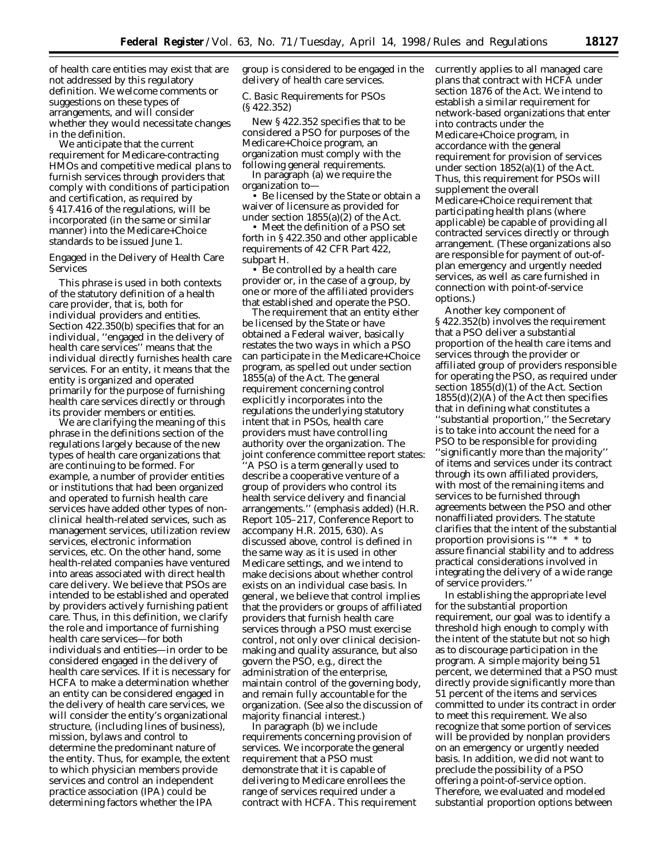of health care entities may exist that are not addressed by this regulatory definition. We welcome comments or suggestions on these types of arrangements, and will consider whether they would necessitate changes in the definition.

We anticipate that the current requirement for Medicare-contracting HMOs and competitive medical plans to furnish services through providers that comply with conditions of participation and certification, as required by § 417.416 of the regulations, will be incorporated (in the same or similar manner) into the Medicare+Choice standards to be issued June 1.

Engaged in the Delivery of Health Care Services

This phrase is used in both contexts of the statutory definition of a health care provider, that is, both for individual providers and entities. Section 422.350(b) specifies that for an individual, ''engaged in the delivery of health care services'' means that the individual directly furnishes health care services. For an entity, it means that the entity is organized and operated primarily for the purpose of furnishing health care services directly or through its provider members or entities.

We are clarifying the meaning of this phrase in the definitions section of the regulations largely because of the new types of health care organizations that are continuing to be formed. For example, a number of provider entities or institutions that had been organized and operated to furnish health care services have added other types of nonclinical health-related services, such as management services, utilization review services, electronic information services, etc. On the other hand, some health-related companies have ventured into areas associated with direct health care delivery. We believe that PSOs are intended to be established and operated by providers actively furnishing patient care. Thus, in this definition, we clarify the role and importance of furnishing health care services—for both individuals and entities—in order to be considered engaged in the delivery of health care services. If it is necessary for HCFA to make a determination whether an entity can be considered engaged in the delivery of health care services, we will consider the entity's organizational structure, (including lines of business), mission, bylaws and control to determine the predominant nature of the entity. Thus, for example, the extent to which physician members provide services and control an independent practice association (IPA) could be determining factors whether the IPA

group is considered to be engaged in the delivery of health care services.

# *C. Basic Requirements for PSOs (§ 422.352)*

New § 422.352 specifies that to be considered a PSO for purposes of the Medicare+Choice program, an organization must comply with the following general requirements.

In paragraph (a) we require the organization to—

• Be licensed by the State or obtain a waiver of licensure as provided for under section 1855(a)(2) of the Act.

• Meet the definition of a PSO set forth in § 422.350 and other applicable requirements of 42 CFR Part 422, subpart H.

• Be controlled by a health care provider or, in the case of a group, by one or more of the affiliated providers that established and operate the PSO.

The requirement that an entity either be licensed by the State or have obtained a Federal waiver, basically restates the two ways in which a PSO can participate in the Medicare+Choice program, as spelled out under section 1855(a) of the Act. The general requirement concerning control explicitly incorporates into the regulations the underlying statutory intent that in PSOs, health care providers must have controlling authority over the organization. The joint conference committee report states: ''A PSO is a term generally used to describe a cooperative venture of a group of providers who *control* its health service delivery and financial arrangements.'' (emphasis added) (H.R. Report 105–217, Conference Report to accompany H.R. 2015, 630). As discussed above, control is defined in the same way as it is used in other Medicare settings, and we intend to make decisions about whether control exists on an individual case basis. In general, we believe that control implies that the providers or groups of affiliated providers that furnish health care services through a PSO must exercise control, not only over clinical decisionmaking and quality assurance, but also govern the PSO, e.g., direct the administration of the enterprise, maintain control of the governing body, and remain fully accountable for the organization. (See also the discussion of majority financial interest.)

In paragraph (b) we include requirements concerning provision of services. We incorporate the general requirement that a PSO must demonstrate that it is capable of delivering to Medicare enrollees the range of services required under a contract with HCFA. This requirement currently applies to all managed care plans that contract with HCFA under section 1876 of the Act. We intend to establish a similar requirement for network-based organizations that enter into contracts under the Medicare+Choice program, in accordance with the general requirement for provision of services under section 1852(a)(1) of the Act. Thus, this requirement for PSOs will supplement the overall Medicare+Choice requirement that participating health plans (where applicable) be capable of providing all contracted services directly or through arrangement. (These organizations also are responsible for payment of out-ofplan emergency and urgently needed services, as well as care furnished in connection with point-of-service options.)

Another key component of § 422.352(b) involves the requirement that a PSO deliver a substantial proportion of the health care items and services through the provider or affiliated group of providers responsible for operating the PSO, as required under section 1855(d)(1) of the Act. Section  $1855(d)(2)(A)$  of the Act then specifies that in defining what constitutes a ''substantial proportion,'' the Secretary is to take into account the need for a PSO to be responsible for providing ''significantly more than the majority'' of items and services under its contract through its own affiliated providers, with most of the remaining items and services to be furnished through agreements between the PSO and other nonaffiliated providers. The statute clarifies that the intent of the substantial proportion provisions is ''\*  $*$  \* to assure financial stability and to address practical considerations involved in integrating the delivery of a wide range of service providers.''

In establishing the appropriate level for the substantial proportion requirement, our goal was to identify a threshold high enough to comply with the intent of the statute but not so high as to discourage participation in the program. A simple majority being 51 percent, we determined that a PSO must directly provide significantly more than 51 percent of the items and services committed to under its contract in order to meet this requirement. We also recognize that some portion of services will be provided by nonplan providers on an emergency or urgently needed basis. In addition, we did not want to preclude the possibility of a PSO offering a point-of-service option. Therefore, we evaluated and modeled substantial proportion options between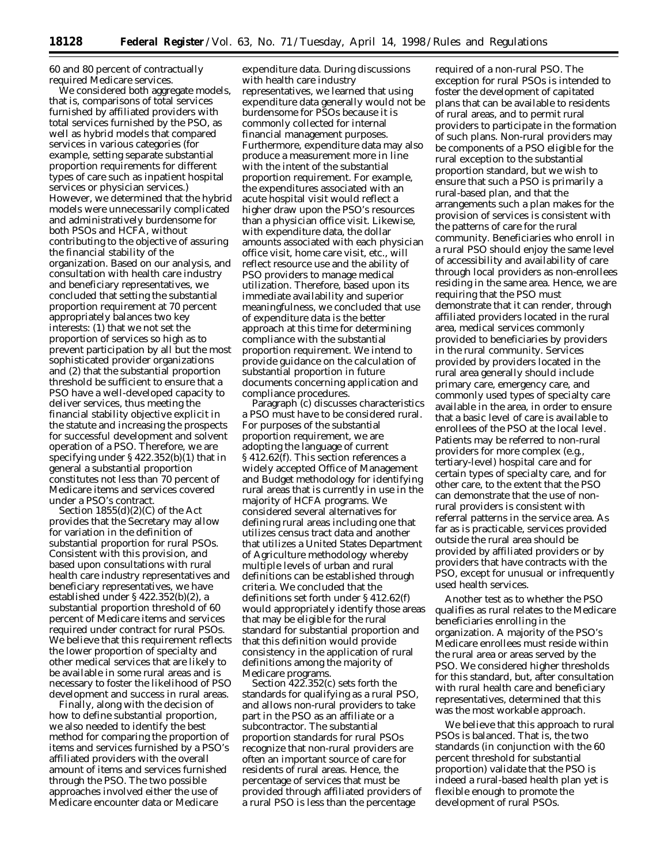60 and 80 percent of contractually required Medicare services.

We considered both aggregate models, that is, comparisons of total services furnished by affiliated providers with total services furnished by the PSO, as well as hybrid models that compared services in various categories (for example, setting separate substantial proportion requirements for different types of care such as inpatient hospital services or physician services.) However, we determined that the hybrid models were unnecessarily complicated and administratively burdensome for both PSOs and HCFA, without contributing to the objective of assuring the financial stability of the organization. Based on our analysis, and consultation with health care industry and beneficiary representatives, we concluded that setting the substantial proportion requirement at 70 percent appropriately balances two key interests: (1) that we not set the proportion of services so high as to prevent participation by all but the most sophisticated provider organizations and (2) that the substantial proportion threshold be sufficient to ensure that a PSO have a well-developed capacity to deliver services, thus meeting the financial stability objective explicit in the statute and increasing the prospects for successful development and solvent operation of a PSO. Therefore, we are specifying under § 422.352(b)(1) that in general a substantial proportion constitutes not less than 70 percent of Medicare items and services covered under a PSO's contract.

Section 1855(d)(2)(C) of the Act provides that the Secretary may allow for variation in the definition of substantial proportion for rural PSOs. Consistent with this provision, and based upon consultations with rural health care industry representatives and beneficiary representatives, we have established under § 422.352(b)(2), a substantial proportion threshold of 60 percent of Medicare items and services required under contract for rural PSOs. We believe that this requirement reflects the lower proportion of specialty and other medical services that are likely to be available in some rural areas and is necessary to foster the likelihood of PSO development and success in rural areas.

Finally, along with the decision of how to define substantial proportion, we also needed to identify the best method for comparing the proportion of items and services furnished by a PSO's affiliated providers with the overall amount of items and services furnished through the PSO. The two possible approaches involved either the use of Medicare encounter data or Medicare

expenditure data. During discussions with health care industry representatives, we learned that using expenditure data generally would not be burdensome for PSOs because it is commonly collected for internal financial management purposes. Furthermore, expenditure data may also produce a measurement more in line with the intent of the substantial proportion requirement. For example, the expenditures associated with an acute hospital visit would reflect a higher draw upon the PSO's resources than a physician office visit. Likewise, with expenditure data, the dollar amounts associated with each physician office visit, home care visit, etc., will reflect resource use and the ability of PSO providers to manage medical utilization. Therefore, based upon its immediate availability and superior meaningfulness, we concluded that use of expenditure data is the better approach at this time for determining compliance with the substantial proportion requirement. We intend to provide guidance on the calculation of substantial proportion in future documents concerning application and compliance procedures.

Paragraph (c) discusses characteristics a PSO must have to be considered rural. For purposes of the substantial proportion requirement, we are adopting the language of current § 412.62(f). This section references a widely accepted Office of Management and Budget methodology for identifying rural areas that is currently in use in the majority of HCFA programs. We considered several alternatives for defining rural areas including one that utilizes census tract data and another that utilizes a United States Department of Agriculture methodology whereby multiple levels of urban and rural definitions can be established through criteria. We concluded that the definitions set forth under § 412.62(f) would appropriately identify those areas that may be eligible for the rural standard for substantial proportion and that this definition would provide consistency in the application of rural definitions among the majority of Medicare programs.

Section 422.352(c) sets forth the standards for qualifying as a rural PSO, and allows non-rural providers to take part in the PSO as an affiliate or a subcontractor. The substantial proportion standards for rural PSOs recognize that non-rural providers are often an important source of care for residents of rural areas. Hence, the percentage of services that must be provided through affiliated providers of a rural PSO is less than the percentage

required of a non-rural PSO. The exception for rural PSOs is intended to foster the development of capitated plans that can be available to residents of rural areas, and to permit rural providers to participate in the formation of such plans. Non-rural providers may be components of a PSO eligible for the rural exception to the substantial proportion standard, but we wish to ensure that such a PSO is primarily a rural-based plan, and that the arrangements such a plan makes for the provision of services is consistent with the patterns of care for the rural community. Beneficiaries who enroll in a rural PSO should enjoy the same level of accessibility and availability of care through local providers as non-enrollees residing in the same area. Hence, we are requiring that the PSO must demonstrate that it can render, through affiliated providers located in the rural area, medical services commonly provided to beneficiaries by providers in the rural community. Services provided by providers located in the rural area generally should include primary care, emergency care, and commonly used types of specialty care available in the area, in order to ensure that a basic level of care is available to enrollees of the PSO at the local level. Patients may be referred to non-rural providers for more complex (e.g., tertiary-level) hospital care and for certain types of specialty care, and for other care, to the extent that the PSO can demonstrate that the use of nonrural providers is consistent with referral patterns in the service area. As far as is practicable, services provided outside the rural area should be provided by affiliated providers or by providers that have contracts with the PSO, except for unusual or infrequently used health services.

Another test as to whether the PSO qualifies as rural relates to the Medicare beneficiaries enrolling in the organization. A majority of the PSO's Medicare enrollees must reside within the rural area or areas served by the PSO. We considered higher thresholds for this standard, but, after consultation with rural health care and beneficiary representatives, determined that this was the most workable approach.

We believe that this approach to rural PSOs is balanced. That is, the two standards (in conjunction with the 60 percent threshold for substantial proportion) validate that the PSO is indeed a rural-based health plan yet is flexible enough to promote the development of rural PSOs.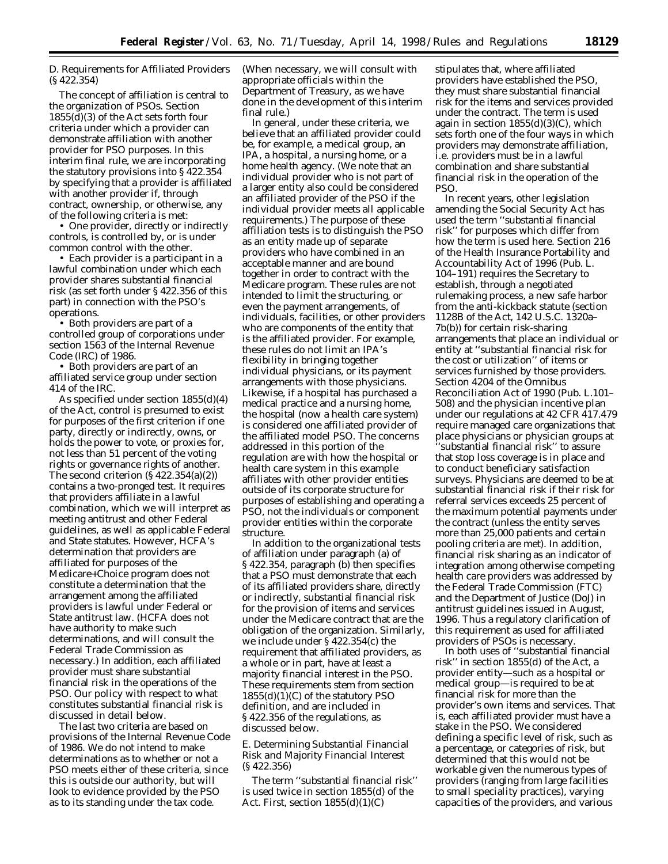# *D. Requirements for Affiliated Providers (§ 422.354)*

The concept of affiliation is central to the organization of PSOs. Section 1855(d)(3) of the Act sets forth four criteria under which a provider can demonstrate affiliation with another provider for PSO purposes. In this interim final rule, we are incorporating the statutory provisions into § 422.354 by specifying that a provider is affiliated with another provider if, through contract, ownership, or otherwise, any of the following criteria is met:

• One provider, directly or indirectly controls, is controlled by, or is under common control with the other.

• Each provider is a participant in a lawful combination under which each provider shares substantial financial risk (as set forth under § 422.356 of this part) in connection with the PSO's operations.

• Both providers are part of a controlled group of corporations under section 1563 of the Internal Revenue Code (IRC) of 1986.

• Both providers are part of an affiliated service group under section 414 of the IRC.

As specified under section 1855(d)(4) of the Act, control is presumed to exist for purposes of the first criterion if one party, directly or indirectly, owns, or holds the power to vote, or proxies for, not less than 51 percent of the voting rights or governance rights of another. The second criterion  $(\S 422.354(a)(2))$ contains a two-pronged test. It requires that providers affiliate in a lawful combination, which we will interpret as meeting antitrust and other Federal guidelines, as well as applicable Federal and State statutes. However, HCFA's determination that providers are affiliated for purposes of the Medicare+Choice program does not constitute a determination that the arrangement among the affiliated providers is lawful under Federal or State antitrust law. (HCFA does not have authority to make such determinations, and will consult the Federal Trade Commission as necessary.) In addition, each affiliated provider must share substantial financial risk in the operations of the PSO. Our policy with respect to what constitutes substantial financial risk is discussed in detail below.

The last two criteria are based on provisions of the Internal Revenue Code of 1986. We do not intend to make determinations as to whether or not a PSO meets either of these criteria, since this is outside our authority, but will look to evidence provided by the PSO as to its standing under the tax code.

(When necessary, we will consult with appropriate officials within the Department of Treasury, as we have done in the development of this interim final rule.)

In general, under these criteria, we believe that an affiliated provider could be, for example, a medical group, an IPA, a hospital, a nursing home, or a home health agency. (We note that an individual provider who is not part of a larger entity also could be considered an affiliated provider of the PSO if the individual provider meets all applicable requirements.) The purpose of these affiliation tests is to distinguish the PSO as an entity made up of separate providers who have combined in an acceptable manner and are bound together in order to contract with the Medicare program. These rules are not intended to limit the structuring, or even the payment arrangements, of individuals, facilities, or other providers who are components of the entity that is the affiliated provider. For example, these rules do not limit an IPA's flexibility in bringing together individual physicians, or its payment arrangements with those physicians. Likewise, if a hospital has purchased a medical practice and a nursing home, the hospital (now a health care system) is considered one affiliated provider of the affiliated model PSO. The concerns addressed in this portion of the regulation are with how the hospital or health care system in this example affiliates with other provider entities outside of its corporate structure for purposes of establishing and operating a PSO, not the individuals or component provider entities within the corporate structure.

In addition to the organizational tests of affiliation under paragraph (a) of § 422.354, paragraph (b) then specifies that a PSO must demonstrate that each of its affiliated providers share, directly or indirectly, substantial financial risk for the provision of items and services under the Medicare contract that are the obligation of the organization. Similarly, we include under § 422.354(c) the requirement that affiliated providers, as a whole or in part, have at least a majority financial interest in the PSO. These requirements stem from section 1855(d)(1)(C) of the statutory PSO definition, and are included in § 422.356 of the regulations, as discussed below.

## *E. Determining Substantial Financial Risk and Majority Financial Interest (§ 422.356)*

The term ''substantial financial risk'' is used twice in section 1855(d) of the Act. First, section 1855(d)(1)(C)

stipulates that, where affiliated providers have established the PSO, they must share substantial financial risk for the items and services provided under the contract. The term is used again in section  $1855(d)(3)(C)$ , which sets forth one of the four ways in which providers may demonstrate affiliation, i.e. providers must be in a lawful combination and share substantial financial risk in the operation of the PSO.

In recent years, other legislation amending the Social Security Act has used the term ''substantial financial risk'' for purposes which differ from how the term is used here. Section 216 of the Health Insurance Portability and Accountability Act of 1996 (Pub. L. 104–191) requires the Secretary to establish, through a negotiated rulemaking process, a new safe harbor from the anti-kickback statute (section 1128B of the Act, 142 U.S.C. 1320a– 7b(b)) for certain risk-sharing arrangements that place an individual or entity at ''substantial financial risk for the cost or utilization'' of items or services furnished by those providers. Section 4204 of the Omnibus Reconciliation Act of 1990 (Pub. L.101– 508) and the physician incentive plan under our regulations at 42 CFR 417.479 require managed care organizations that place physicians or physician groups at ''substantial financial risk'' to assure that stop loss coverage is in place and to conduct beneficiary satisfaction surveys. Physicians are deemed to be at substantial financial risk if their risk for referral services exceeds 25 percent of the maximum potential payments under the contract (unless the entity serves more than 25,000 patients and certain pooling criteria are met). In addition, financial risk sharing as an indicator of integration among otherwise competing health care providers was addressed by the Federal Trade Commission (FTC) and the Department of Justice (DoJ) in antitrust guidelines issued in August, 1996. Thus a regulatory clarification of this requirement as used for affiliated providers of PSOs is necessary.

In both uses of ''substantial financial risk'' in section 1855(d) of the Act, a provider entity—such as a hospital or medical group—is required to be at financial risk for more than the provider's own items and services. That is, each affiliated provider must have a stake in the PSO. We considered defining a specific level of risk, such as a percentage, or categories of risk, but determined that this would not be workable given the numerous types of providers (ranging from large facilities to small speciality practices), varying capacities of the providers, and various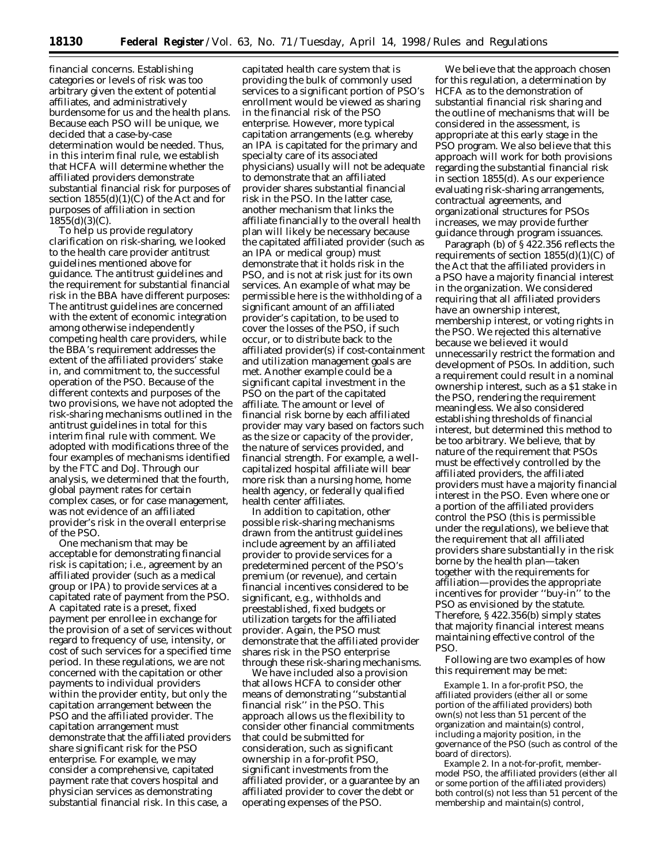financial concerns. Establishing categories or levels of risk was too arbitrary given the extent of potential affiliates, and administratively burdensome for us and the health plans. Because each PSO will be unique, we decided that a case-by-case determination would be needed. Thus, in this interim final rule, we establish that HCFA will determine whether the affiliated providers demonstrate substantial financial risk for purposes of section  $1855(d)(1)(C)$  of the Act and for purposes of affiliation in section  $1855(d)(3)(C)$ .

To help us provide regulatory clarification on risk-sharing, we looked to the health care provider antitrust guidelines mentioned above for guidance. The antitrust guidelines and the requirement for substantial financial risk in the BBA have different purposes: The antitrust guidelines are concerned with the extent of economic integration among otherwise independently competing health care providers, while the BBA's requirement addresses the extent of the affiliated providers' stake in, and commitment to, the successful operation of the PSO. Because of the different contexts and purposes of the two provisions, we have not adopted the risk-sharing mechanisms outlined in the antitrust guidelines in total for this interim final rule with comment. We adopted with modifications three of the four examples of mechanisms identified by the FTC and DoJ. Through our analysis, we determined that the fourth, global payment rates for certain complex cases, or for case management, was not evidence of an affiliated provider's risk in the overall enterprise of the PSO.

One mechanism that may be acceptable for demonstrating financial risk is capitation; i.e., agreement by an affiliated provider (such as a medical group or IPA) to provide services at a capitated rate of payment from the PSO. A capitated rate is a preset, fixed payment per enrollee in exchange for the provision of a set of services without regard to frequency of use, intensity, or cost of such services for a specified time period. In these regulations, we are not concerned with the capitation or other payments to individual providers within the provider entity, but only the capitation arrangement between the PSO and the affiliated provider. The capitation arrangement must demonstrate that the affiliated providers share significant risk for the PSO enterprise. For example, we may consider a comprehensive, capitated payment rate that covers hospital and physician services as demonstrating substantial financial risk. In this case, a

capitated health care system that is providing the bulk of commonly used services to a significant portion of PSO's enrollment would be viewed as sharing in the financial risk of the PSO enterprise. However, more typical capitation arrangements (e.g. whereby an IPA is capitated for the primary and specialty care of its associated physicians) usually will not be adequate to demonstrate that an affiliated provider shares substantial financial risk in the PSO. In the latter case, another mechanism that links the affiliate financially to the overall health plan will likely be necessary because the capitated affiliated provider (such as an IPA or medical group) must demonstrate that it holds risk in the PSO, and is not at risk just for its own services. An example of what may be permissible here is the withholding of a significant amount of an affiliated provider's capitation, to be used to cover the losses of the PSO, if such occur, or to distribute back to the affiliated provider(s) if cost-containment and utilization management goals are met. Another example could be a significant capital investment in the PSO on the part of the capitated affiliate. The amount or level of financial risk borne by each affiliated provider may vary based on factors such as the size or capacity of the provider, the nature of services provided, and financial strength. For example, a wellcapitalized hospital affiliate will bear more risk than a nursing home, home health agency, or federally qualified health center affiliates.

In addition to capitation, other possible risk-sharing mechanisms drawn from the antitrust guidelines include agreement by an affiliated provider to provide services for a predetermined percent of the PSO's premium (or revenue), and certain financial incentives considered to be significant, e.g., withholds and preestablished, fixed budgets or utilization targets for the affiliated provider. Again, the PSO must demonstrate that the affiliated provider shares risk in the PSO enterprise through these risk-sharing mechanisms.

We have included also a provision that allows HCFA to consider other means of demonstrating ''substantial financial risk'' in the PSO. This approach allows us the flexibility to consider other financial commitments that could be submitted for consideration, such as significant ownership in a for-profit PSO, significant investments from the affiliated provider, or a guarantee by an affiliated provider to cover the debt or operating expenses of the PSO.

We believe that the approach chosen for this regulation, a determination by HCFA as to the demonstration of substantial financial risk sharing and the outline of mechanisms that will be considered in the assessment, is appropriate at this early stage in the PSO program. We also believe that this approach will work for both provisions regarding the substantial financial risk in section 1855(d). As our experience evaluating risk-sharing arrangements, contractual agreements, and organizational structures for PSOs increases, we may provide further guidance through program issuances.

Paragraph (b) of § 422.356 reflects the requirements of section  $1855(d)(1)(C)$  of the Act that the affiliated providers in a PSO have a majority financial interest in the organization. We considered requiring that all affiliated providers have an ownership interest, membership interest, or voting rights in the PSO. We rejected this alternative because we believed it would unnecessarily restrict the formation and development of PSOs. In addition, such a requirement could result in a nominal ownership interest, such as a \$1 stake in the PSO, rendering the requirement meaningless. We also considered establishing thresholds of financial interest, but determined this method to be too arbitrary. We believe, that by nature of the requirement that PSOs must be effectively controlled by the affiliated providers, the affiliated providers must have a majority financial interest in the PSO. Even where one or a portion of the affiliated providers control the PSO (this is permissible under the regulations), we believe that the requirement that all affiliated providers share substantially in the risk borne by the health plan—taken together with the requirements for affiliation—provides the appropriate incentives for provider ''buy-in'' to the PSO as envisioned by the statute. Therefore, § 422.356(b) simply states that majority financial interest means maintaining effective control of the PSO.

Following are two examples of how this requirement may be met:

*Example 1.* In a for-profit PSO, the affiliated providers (either all or some portion of the affiliated providers) both own(s) not less than 51 percent of the organization and maintain(s) control, including a majority position, in the governance of the PSO (such as control of the board of directors).

*Example 2.* In a not-for-profit, membermodel PSO, the affiliated providers (either all or some portion of the affiliated providers) both control(s) not less than 51 percent of the membership and maintain(s) control,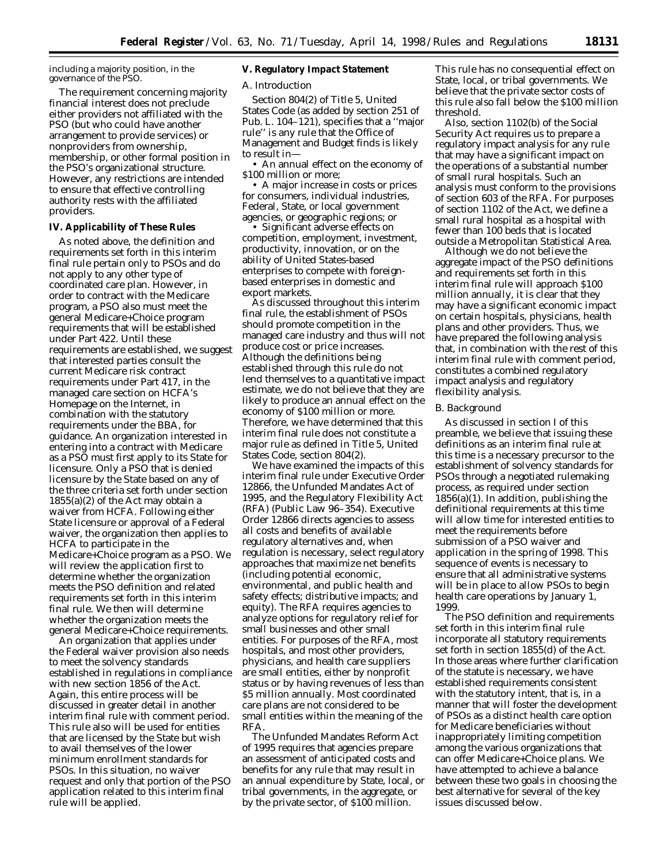including a majority position, in the governance of the PSO.

The requirement concerning majority financial interest does not preclude either providers not affiliated with the PSO (but who could have another arrangement to provide services) or nonproviders from ownership, membership, or other formal position in the PSO's organizational structure. However, any restrictions are intended to ensure that effective controlling authority rests with the affiliated providers.

# **IV. Applicability of These Rules**

As noted above, the definition and requirements set forth in this interim final rule pertain only to PSOs and do not apply to any other type of coordinated care plan. However, in order to contract with the Medicare program, a PSO also must meet the general Medicare+Choice program requirements that will be established under Part 422. Until these requirements are established, we suggest that interested parties consult the current Medicare risk contract requirements under Part 417, in the managed care section on HCFA's Homepage on the Internet, in combination with the statutory requirements under the BBA, for guidance. An organization interested in entering into a contract with Medicare as a PSO must first apply to its State for licensure. Only a PSO that is denied licensure by the State based on any of the three criteria set forth under section  $1855(a)(2)$  of the Act may obtain a waiver from HCFA. Following either State licensure or approval of a Federal waiver, the organization then applies to HCFA to participate in the Medicare+Choice program as a PSO. We will review the application first to determine whether the organization meets the PSO definition and related requirements set forth in this interim final rule. We then will determine whether the organization meets the general Medicare+Choice requirements.

An organization that applies under the Federal waiver provision also needs to meet the solvency standards established in regulations in compliance with new section 1856 of the Act. Again, this entire process will be discussed in greater detail in another interim final rule with comment period. This rule also will be used for entities that are licensed by the State but wish to avail themselves of the lower minimum enrollment standards for PSOs. In this situation, no waiver request and only that portion of the PSO application related to this interim final rule will be applied.

# **V. Regulatory Impact Statement**

#### *A. Introduction*

Section 804(2) of Title 5, United States Code (as added by section 251 of Pub. L. 104–121), specifies that a ''major rule'' is any rule that the Office of Management and Budget finds is likely to result in—

• An annual effect on the economy of \$100 million or more;

• A major increase in costs or prices for consumers, individual industries, Federal, State, or local government agencies, or geographic regions; or

• Significant adverse effects on competition, employment, investment, productivity, innovation, or on the ability of United States-based enterprises to compete with foreignbased enterprises in domestic and export markets.

As discussed throughout this interim final rule, the establishment of PSOs should promote competition in the managed care industry and thus will not produce cost or price increases. Although the definitions being established through this rule do not lend themselves to a quantitative impact estimate, we do not believe that they are likely to produce an annual effect on the economy of \$100 million or more. Therefore, we have determined that this interim final rule does not constitute a major rule as defined in Title 5, United States Code, section 804(2).

We have examined the impacts of this interim final rule under Executive Order 12866, the Unfunded Mandates Act of 1995, and the Regulatory Flexibility Act (RFA) (Public Law 96–354). Executive Order 12866 directs agencies to assess all costs and benefits of available regulatory alternatives and, when regulation is necessary, select regulatory approaches that maximize net benefits (including potential economic, environmental, and public health and safety effects; distributive impacts; and equity). The RFA requires agencies to analyze options for regulatory relief for small businesses and other small entities. For purposes of the RFA, most hospitals, and most other providers, physicians, and health care suppliers are small entities, either by nonprofit status or by having revenues of less than \$5 million annually. Most coordinated care plans are not considered to be small entities within the meaning of the RFA.

The Unfunded Mandates Reform Act of 1995 requires that agencies prepare an assessment of anticipated costs and benefits for any rule that may result in an annual expenditure by State, local, or tribal governments, in the aggregate, or by the private sector, of \$100 million.

This rule has no consequential effect on State, local, or tribal governments. We believe that the private sector costs of this rule also fall below the \$100 million threshold.

Also, section 1102(b) of the Social Security Act requires us to prepare a regulatory impact analysis for any rule that may have a significant impact on the operations of a substantial number of small rural hospitals. Such an analysis must conform to the provisions of section 603 of the RFA. For purposes of section 1102 of the Act, we define a small rural hospital as a hospital with fewer than 100 beds that is located outside a Metropolitan Statistical Area.

Although we do not believe the aggregate impact of the PSO definitions and requirements set forth in this interim final rule will approach \$100 million annually, it is clear that they may have a significant economic impact on certain hospitals, physicians, health plans and other providers. Thus, we have prepared the following analysis that, in combination with the rest of this interim final rule with comment period, constitutes a combined regulatory impact analysis and regulatory flexibility analysis.

## *B. Background*

As discussed in section I of this preamble, we believe that issuing these definitions as an interim final rule at this time is a necessary precursor to the establishment of solvency standards for PSOs through a negotiated rulemaking process, as required under section  $1856(a)(1)$ . In addition, publishing the definitional requirements at this time will allow time for interested entities to meet the requirements before submission of a PSO waiver and application in the spring of 1998. This sequence of events is necessary to ensure that all administrative systems will be in place to allow PSOs to begin health care operations by January 1, 1999.

The PSO definition and requirements set forth in this interim final rule incorporate all statutory requirements set forth in section 1855(d) of the Act. In those areas where further clarification of the statute is necessary, we have established requirements consistent with the statutory intent, that is, in a manner that will foster the development of PSOs as a distinct health care option for Medicare beneficiaries without inappropriately limiting competition among the various organizations that can offer Medicare+Choice plans. We have attempted to achieve a balance between these two goals in choosing the best alternative for several of the key issues discussed below.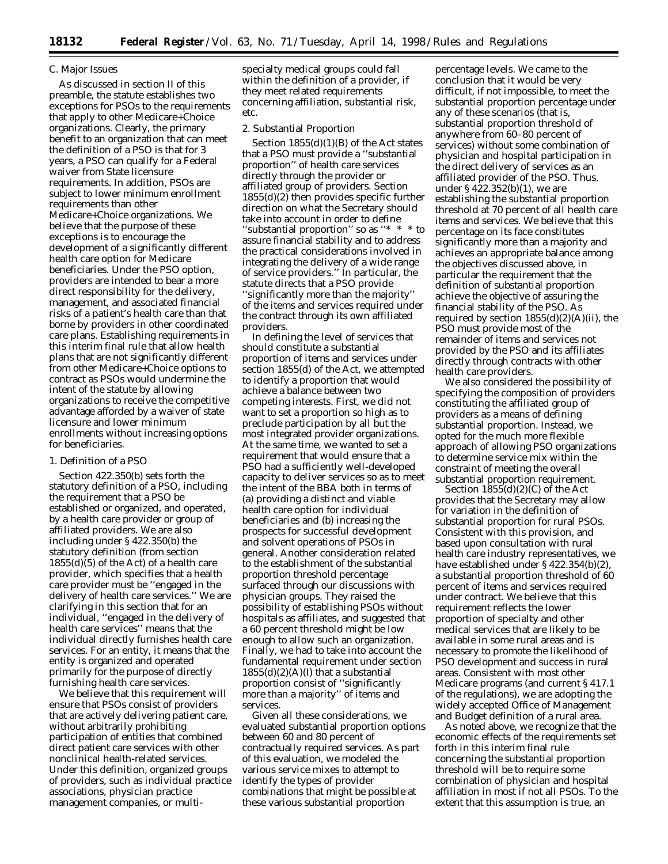## *C. Major Issues*

As discussed in section II of this preamble, the statute establishes two exceptions for PSOs to the requirements that apply to other Medicare+Choice organizations. Clearly, the primary benefit to an organization that can meet the definition of a PSO is that for 3 years, a PSO can qualify for a Federal waiver from State licensure requirements. In addition, PSOs are subject to lower minimum enrollment requirements than other Medicare+Choice organizations. We believe that the purpose of these exceptions is to encourage the development of a significantly different health care option for Medicare beneficiaries. Under the PSO option, providers are intended to bear a more direct responsibility for the delivery, management, and associated financial risks of a patient's health care than that borne by providers in other coordinated care plans. Establishing requirements in this interim final rule that allow health plans that are not significantly different from other Medicare+Choice options to contract as PSOs would undermine the intent of the statute by allowing organizations to receive the competitive advantage afforded by a waiver of state licensure and lower minimum enrollments without increasing options for beneficiaries.

## 1. Definition of a PSO

Section 422.350(b) sets forth the statutory definition of a PSO, including the requirement that a PSO be established or organized, and operated, by a health care provider or group of affiliated providers. We are also including under § 422.350(b) the statutory definition (from section  $1855(d)(5)$  of the Act) of a health care provider, which specifies that a health care provider must be ''engaged in the delivery of health care services.'' We are clarifying in this section that for an individual, ''engaged in the delivery of health care services'' means that the individual directly furnishes health care services. For an entity, it means that the entity is organized and operated primarily for the purpose of directly furnishing health care services.

We believe that this requirement will ensure that PSOs consist of providers that are actively delivering patient care, without arbitrarily prohibiting participation of entities that combined direct patient care services with other nonclinical health-related services. Under this definition, organized groups of providers, such as individual practice associations, physician practice management companies, or multispecialty medical groups could fall within the definition of a provider, if they meet related requirements concerning affiliation, substantial risk, etc.

#### 2. Substantial Proportion

Section 1855(d)(1)(B) of the Act states that a PSO must provide a ''substantial proportion'' of health care services directly through the provider or affiliated group of providers. Section 1855(d)(2) then provides specific further direction on what the Secretary should take into account in order to define "substantial proportion" so as  $**$ assure financial stability and to address the practical considerations involved in integrating the delivery of a wide range of service providers.'' In particular, the statute directs that a PSO provide ''significantly more than the majority'' of the items and services required under the contract through its own affiliated providers.

In defining the level of services that should constitute a substantial proportion of items and services under section 1855(d) of the Act, we attempted to identify a proportion that would achieve a balance between two competing interests. First, we did not want to set a proportion so high as to preclude participation by all but the most integrated provider organizations. At the same time, we wanted to set a requirement that would ensure that a PSO had a sufficiently well-developed capacity to deliver services so as to meet the intent of the BBA both in terms of (a) providing a distinct and viable health care option for individual beneficiaries and (b) increasing the prospects for successful development and solvent operations of PSOs in general. Another consideration related to the establishment of the substantial proportion threshold percentage surfaced through our discussions with physician groups. They raised the possibility of establishing PSOs without hospitals as affiliates, and suggested that a 60 percent threshold might be low enough to allow such an organization. Finally, we had to take into account the fundamental requirement under section  $1855(d)(2)(A)(I)$  that a substantial proportion consist of ''significantly more than a majority'' of items and services.

Given all these considerations, we evaluated substantial proportion options between 60 and 80 percent of contractually required services. As part of this evaluation, we modeled the various service mixes to attempt to identify the types of provider combinations that might be possible at these various substantial proportion

percentage levels. We came to the conclusion that it would be very difficult, if not impossible, to meet the substantial proportion percentage under any of these scenarios (that is, substantial proportion threshold of anywhere from 60–80 percent of services) without some combination of physician and hospital participation in the direct delivery of services as an affiliated provider of the PSO. Thus, under § 422.352(b)(1), we are establishing the substantial proportion threshold at 70 percent of all health care items and services. We believe that this percentage on its face constitutes significantly more than a majority and achieves an appropriate balance among the objectives discussed above, in particular the requirement that the definition of substantial proportion achieve the objective of assuring the financial stability of the PSO. As required by section  $1855(d)(2)(A)(ii)$ , the PSO must provide most of the remainder of items and services not provided by the PSO and its affiliates directly through contracts with other health care providers.

We also considered the possibility of specifying the composition of providers constituting the affiliated group of providers as a means of defining substantial proportion. Instead, we opted for the much more flexible approach of allowing PSO organizations to determine service mix within the constraint of meeting the overall substantial proportion requirement.

Section  $1855(d)(2)(C)$  of the Act provides that the Secretary may allow for variation in the definition of substantial proportion for rural PSOs. Consistent with this provision, and based upon consultation with rural health care industry representatives, we have established under § 422.354(b)(2), a substantial proportion threshold of 60 percent of items and services required under contract. We believe that this requirement reflects the lower proportion of specialty and other medical services that are likely to be available in some rural areas and is necessary to promote the likelihood of PSO development and success in rural areas. Consistent with most other Medicare programs (and current § 417.1 of the regulations), we are adopting the widely accepted Office of Management and Budget definition of a rural area.

As noted above, we recognize that the economic effects of the requirements set forth in this interim final rule concerning the substantial proportion threshold will be to require some combination of physician and hospital affiliation in most if not all PSOs. To the extent that this assumption is true, an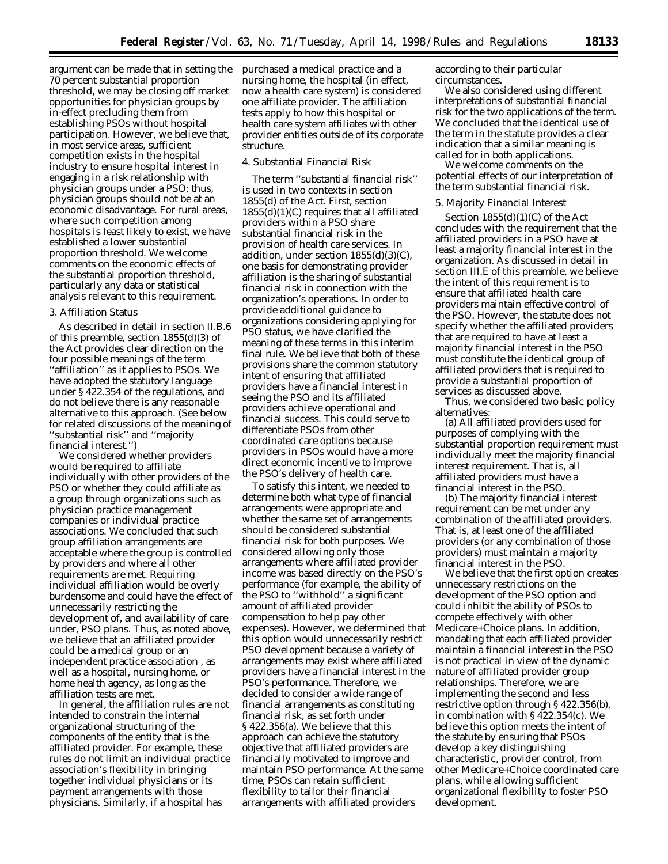argument can be made that in setting the 70 percent substantial proportion threshold, we may be closing off market opportunities for physician groups by in-effect precluding them from establishing PSOs without hospital participation. However, we believe that, in most service areas, sufficient competition exists in the hospital industry to ensure hospital interest in engaging in a risk relationship with physician groups under a PSO; thus, physician groups should not be at an economic disadvantage. For rural areas, where such competition among hospitals is least likely to exist, we have established a lower substantial proportion threshold. We welcome comments on the economic effects of the substantial proportion threshold, particularly any data or statistical analysis relevant to this requirement.

## 3. Affiliation Status

As described in detail in section II.B.6 of this preamble, section 1855(d)(3) of the Act provides clear direction on the four possible meanings of the term ''affiliation'' as it applies to PSOs. We have adopted the statutory language under § 422.354 of the regulations, and do not believe there is any reasonable alternative to this approach. (See below for related discussions of the meaning of ''substantial risk'' and ''majority financial interest.'')

We considered whether providers would be required to affiliate individually with other providers of the PSO or whether they could affiliate as a group through organizations such as physician practice management companies or individual practice associations. We concluded that such group affiliation arrangements are acceptable where the group is controlled by providers and where all other requirements are met. Requiring individual affiliation would be overly burdensome and could have the effect of unnecessarily restricting the development of, and availability of care under, PSO plans. Thus, as noted above, we believe that an affiliated provider could be a medical group or an independent practice association , as well as a hospital, nursing home, or home health agency, as long as the affiliation tests are met.

In general, the affiliation rules are not intended to constrain the internal organizational structuring of the components of the entity that is the affiliated provider. For example, these rules do not limit an individual practice association's flexibility in bringing together individual physicians or its payment arrangements with those physicians. Similarly, if a hospital has

purchased a medical practice and a nursing home, the hospital (in effect, now a health care system) is considered one affiliate provider. The affiliation tests apply to how this hospital or health care system affiliates with other provider entities outside of its corporate structure.

### 4. Substantial Financial Risk

The term ''substantial financial risk'' is used in two contexts in section 1855(d) of the Act. First, section 1855(d)(1)(C) requires that all affiliated providers within a PSO share substantial financial risk in the provision of health care services. In addition, under section  $1855(d)(3)(C)$ , one basis for demonstrating provider affiliation is the sharing of substantial financial risk in connection with the organization's operations. In order to provide additional guidance to organizations considering applying for PSO status, we have clarified the meaning of these terms in this interim final rule. We believe that both of these provisions share the common statutory intent of ensuring that affiliated providers have a financial interest in seeing the PSO and its affiliated providers achieve operational and financial success. This could serve to differentiate PSOs from other coordinated care options because providers in PSOs would have a more direct economic incentive to improve the PSO's delivery of health care.

To satisfy this intent, we needed to determine both what type of financial arrangements were appropriate and whether the same set of arrangements should be considered substantial financial risk for both purposes. We considered allowing only those arrangements where affiliated provider income was based directly on the PSO's performance (for example, the ability of the PSO to ''withhold'' a significant amount of affiliated provider compensation to help pay other expenses). However, we determined that this option would unnecessarily restrict PSO development because a variety of arrangements may exist where affiliated providers have a financial interest in the PSO's performance. Therefore, we decided to consider a wide range of financial arrangements as constituting financial risk, as set forth under § 422.356(a). We believe that this approach can achieve the statutory objective that affiliated providers are financially motivated to improve and maintain PSO performance. At the same time, PSOs can retain sufficient flexibility to tailor their financial arrangements with affiliated providers

according to their particular circumstances.

We also considered using different interpretations of substantial financial risk for the two applications of the term. We concluded that the identical use of the term in the statute provides a clear indication that a similar meaning is called for in both applications.

We welcome comments on the potential effects of our interpretation of the term substantial financial risk.

#### 5. Majority Financial Interest

Section  $1855(d)(1)(C)$  of the Act concludes with the requirement that the affiliated providers in a PSO have at least a majority financial interest in the organization. As discussed in detail in section III.E of this preamble, we believe the intent of this requirement is to ensure that affiliated health care providers maintain effective control of the PSO. However, the statute does not specify whether the affiliated providers that are required to have at least a majority financial interest in the PSO must constitute the identical group of affiliated providers that is required to provide a substantial proportion of services as discussed above.

Thus, we considered two basic policy alternatives:

(a) All affiliated providers used for purposes of complying with the substantial proportion requirement must individually meet the majority financial interest requirement. That is, all affiliated providers must have a financial interest in the PSO.

(b) The majority financial interest requirement can be met under any combination of the affiliated providers. That is, at least one of the affiliated providers (or any combination of those providers) must maintain a majority financial interest in the PSO.

We believe that the first option creates unnecessary restrictions on the development of the PSO option and could inhibit the ability of PSOs to compete effectively with other Medicare+Choice plans. In addition, mandating that each affiliated provider maintain a financial interest in the PSO is not practical in view of the dynamic nature of affiliated provider group relationships. Therefore, we are implementing the second and less restrictive option through § 422.356(b), in combination with § 422.354(c). We believe this option meets the intent of the statute by ensuring that PSOs develop a key distinguishing characteristic, provider control, from other Medicare+Choice coordinated care plans, while allowing sufficient organizational flexibility to foster PSO development.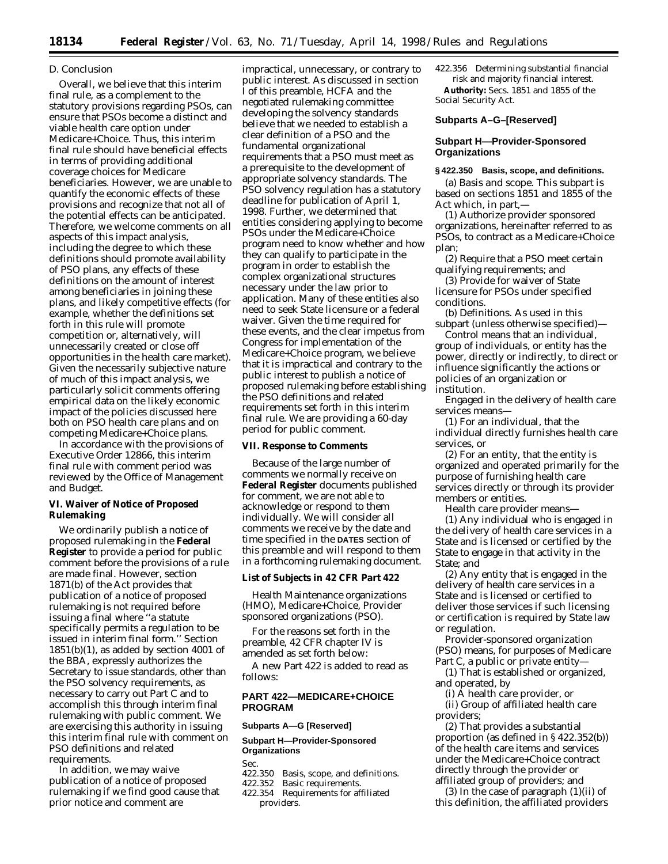#### *D. Conclusion*

Overall, we believe that this interim final rule, as a complement to the statutory provisions regarding PSOs, can ensure that PSOs become a distinct and viable health care option under Medicare+Choice. Thus, this interim final rule should have beneficial effects in terms of providing additional coverage choices for Medicare beneficiaries. However, we are unable to quantify the economic effects of these provisions and recognize that not all of the potential effects can be anticipated. Therefore, we welcome comments on all aspects of this impact analysis, including the degree to which these definitions should promote availability of PSO plans, any effects of these definitions on the amount of interest among beneficiaries in joining these plans, and likely competitive effects (for example, whether the definitions set forth in this rule will promote competition or, alternatively, will unnecessarily created or close off opportunities in the health care market). Given the necessarily subjective nature of much of this impact analysis, we particularly solicit comments offering empirical data on the likely economic impact of the policies discussed here both on PSO health care plans and on competing Medicare+Choice plans.

In accordance with the provisions of Executive Order 12866, this interim final rule with comment period was reviewed by the Office of Management and Budget.

## **VI. Waiver of Notice of Proposed Rulemaking**

We ordinarily publish a notice of proposed rulemaking in the **Federal Register** to provide a period for public comment before the provisions of a rule are made final. However, section 1871(b) of the Act provides that publication of a notice of proposed rulemaking is not required before issuing a final where ''a statute specifically permits a regulation to be issued in interim final form.'' Section  $1851(b)(1)$ , as added by section 4001 of the BBA, expressly authorizes the Secretary to issue standards, other than the PSO solvency requirements, as necessary to carry out Part C and to accomplish this through interim final rulemaking with public comment. We are exercising this authority in issuing this interim final rule with comment on PSO definitions and related requirements.

In addition, we may waive publication of a notice of proposed rulemaking if we find good cause that prior notice and comment are

impractical, unnecessary, or contrary to public interest. As discussed in section I of this preamble, HCFA and the negotiated rulemaking committee developing the solvency standards believe that we needed to establish a clear definition of a PSO and the fundamental organizational requirements that a PSO must meet as a prerequisite to the development of appropriate solvency standards. The PSO solvency regulation has a statutory deadline for publication of April 1, 1998. Further, we determined that entities considering applying to become PSOs under the Medicare+Choice program need to know whether and how they can qualify to participate in the program in order to establish the complex organizational structures necessary under the law prior to application. Many of these entities also need to seek State licensure or a federal waiver. Given the time required for these events, and the clear impetus from Congress for implementation of the Medicare+Choice program, we believe that it is impractical and contrary to the public interest to publish a notice of proposed rulemaking before establishing the PSO definitions and related requirements set forth in this interim final rule. We are providing a 60-day period for public comment.

## **VII. Response to Comments**

Because of the large number of comments we normally receive on **Federal Register** documents published for comment, we are not able to acknowledge or respond to them individually. We will consider all comments we receive by the date and time specified in the **DATES** section of this preamble and will respond to them in a forthcoming rulemaking document.

#### **List of Subjects in 42 CFR Part 422**

Health Maintenance organizations (HMO), Medicare+Choice, Provider sponsored organizations (PSO).

For the reasons set forth in the preamble, 42 CFR chapter IV is amended as set forth below:

A new Part 422 is added to read as follows:

# **PART 422—MEDICARE+CHOICE PROGRAM**

### **Subparts A—G [Reserved]**

# **Subpart H—Provider-Sponsored Organizations**

Sec.

- 422.350 Basis, scope, and definitions.<br>422.352 Basic requirements
- Basic requirements.
- 422.354 Requirements for affiliated providers.

422.356 Determining substantial financial risk and majority financial interest. **Authority:** Secs. 1851 and 1855 of the Social Security Act.

## **Subparts A–G–[Reserved]**

# **Subpart H—Provider-Sponsored Organizations**

# **§ 422.350 Basis, scope, and definitions.**

(a) *Basis and scope.* This subpart is based on sections 1851 and 1855 of the Act which, in part,—

(1) Authorize provider sponsored organizations, hereinafter referred to as PSOs, to contract as a Medicare+Choice plan;

(2) Require that a PSO meet certain qualifying requirements; and

(3) Provide for waiver of State licensure for PSOs under specified conditions.

(b) *Definitions.* As used in this subpart (unless otherwise specified)—

*Control* means that an individual, group of individuals, or entity has the power, directly or indirectly, to direct or influence significantly the actions or policies of an organization or institution.

*Engaged in the delivery of health care services* means—

(1) For an individual, that the individual directly furnishes health care services, or

(2) For an entity, that the entity is organized and operated primarily for the purpose of furnishing health care services directly or through its provider members or entities.

*Health care provider* means—

(1) Any individual who is engaged in the delivery of health care services in a State and is licensed or certified by the State to engage in that activity in the State; and

(2) Any entity that is engaged in the delivery of health care services in a State and is licensed or certified to deliver those services if such licensing or certification is required by State law or regulation.

*Provider-sponsored organization* (PSO) means, for purposes of Medicare Part C, a public or private entity—

(1) That is established or organized, and operated, by

(i) A health care provider, or

(ii) Group of affiliated health care providers;

(2) That provides a substantial proportion (as defined in § 422.352(b)) of the health care items and services under the Medicare+Choice contract directly through the provider or affiliated group of providers; and

(3) In the case of paragraph  $(1)(ii)$  of this definition, the affiliated providers